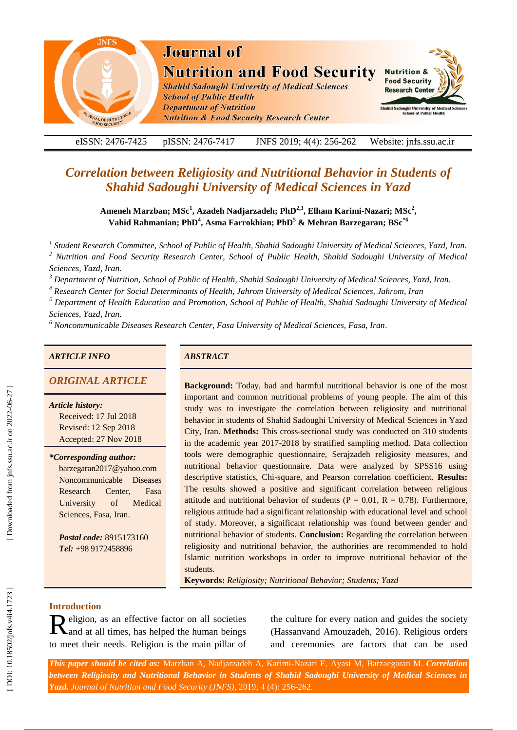

eISSN: 2476-7425 pISSN: 2476-7417 -7417 JNFS 201 9; 4 ( 4): 256 Website: jnfs.ssu.ac.ir

# *Correlation between Religiosity and Nutritional Behavior in Students of Shahid Sadoughi University of Medical Sciences in Yazd*

Ameneh Marzban; MSc<sup>1</sup>, Azadeh Nadjarzadeh; PhD<sup>2,3</sup>, Elham Karimi-Nazari; MSc<sup>2</sup>, **Vahid Rahmanian; PhD 4 , Asma Farrokhian; PhD <sup>5</sup> & Mehran Barzegaran; BSc\*6**

*1 Student Research Committee, School of Public of Health, Shahid Sadoughi University of Medical Sciences, Yazd, Iran . <sup>2</sup> Nutrition and Food Security Research Center, School of Public Health, Shahid Sadoughi University of Medical Sciences, Yazd, Iran .*

*<sup>3</sup> Department of Nutrition, School of Public of Health, Shahid Sadoughi University of Medical Sciences, Yazd, Iran.*

*<sup>4</sup> Research Center for Social Determinants of Health, Jahrom University of Medical Sciences, Jahrom, Iran*

*<sup>5</sup> Department of Health Education and Promotion, School of Public of Health, Shahid Sadoughi University of Medical Sciences, Yazd, Iran.* 

*<sup>6</sup> Noncommunicable Diseases Research Center, Fasa University of Medical Sciences, Fasa, Iran .*

#### *ARTICLE INFO ABSTRACT*

# **ORIGINAL ARTICLE**

*Article history:* Received: 17 Jul 2018 Revised: 12 Sep 2018 Accepted: 27 Nov 2018

*\*Corresponding author:* barzegaran2017@yahoo.com Noncommunicable Diseases Research Center, Fasa University of Medical Sciences, Fasa, Iran .

*Postal code:* 8915173160 *Tel:* +98 9172458896

**Background:** Today, bad and harmful nutritional behavior is one of the most important and common nutritional problems of young people. The aim of this study was to investigate the correlation between religiosity and nutritional behavior in students of Shahid Sadoughi University of Medical Sciences in Yazd City, Iran. **Methods:** This cross -sectional study was conducted on 310 students in the academic year 2017 -2018 by stratified sampling method. Data collection tools were demographic questionnaire, Serajzadeh religiosity measures, and nutritional behavior questionnaire. Data were analyzed by SPSS16 using descriptive statistics, Chi -square, and Pearson correlation coefficient. **Results:** The results showed a positive and significant correlation between religious attitude and nutritional behavior of students ( $P = 0.01$ ,  $R = 0.78$ ). Furthermore, religious attitude had a significant relationship with educational level and school of study. Moreover, a significant relationship was found between gender and nutritional behavior of students. **Conclusion:** Regarding the correlation between religiosity and nutritional behavior, the authorities are recommended to hold Islamic nutrition workshops in order to improve nutritional behavior of the students.

**Keywords:** *Religiosity ; Nutritional Behavior ; Students ; Yazd*

## **Introduction**

Religion, as an effective factor on all societies<br>
Rand at all times, has helped the human beings and at all times, has helped the human being s to meet their needs . Religion is the main pillar of

the culture for every nation and guides the society (Hassanvand Amouzadeh, 2016). Religious orders and ceremonies are factors that can be used

*This paper should be cited as:* Marzban A, Nadjarzadeh A, Karimi -Nazari E, Ayasi M, Barzaegaran M . *Correlation between Religiosity and Nutritional Behavior in Students of Shahid Sadoughi University of Medical Sciences in*  Yazd. Journal of Nutrition and Food Security (JNFS), 2019; 4 (4): 256-262.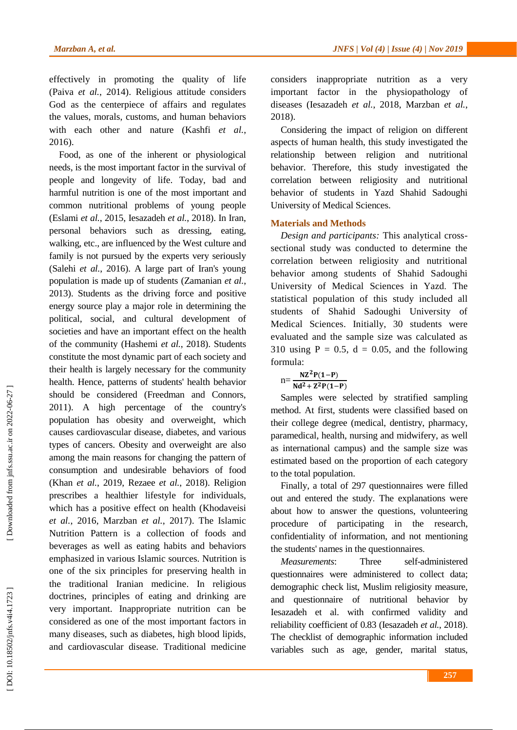effectively in promoting the quality of life (Paiva *et al.*, 2014). Religious attitude considers God as the centerpiece of affairs and regulates the values, morals, customs, and human behaviors with each other and nature (Kashfi *et al.*, 2016 ) .

Food, as one of the inherent or physiological needs , is the most important factor in the survival of people and longevity of life. Today, bad and harmful nutrition is one of the most important and common nutritional problems of young people (Eslami *et al.*, 2015, Iesazadeh *et al.*, 2018). In Iran, personal behaviors such as dressing, eating, walking, etc., are influenced by the West culture and family is not pursued by the experts very seriously (Salehi *et al.*, 2016). A large part of Iran's young population is made up of students (Zamanian *et al.*, 2013 ) . Students as the driving force and positive energy source play a major role in determining the political, social , and cultural development of societies and have an important effect on the health of the community (Hashemi *et al.*, 2018 ) . Students constitute the most dynamic part of each society and their health is largely necessary for the community health . Hence, patterns of students' health behavior should be considered (Freedman and Connors, 2011 ) . A high percentage of the country's population has obesity and overweight, which causes cardiovascular disease, diabetes , and various types of cancers. Obesity and overweight are also among the main reasons for changing the pattern of consumption and undesirable behaviors of food (Khan *et al.*, 2019, Rezaee *et al.*, 2018). Religion prescribes a healthier lifestyle for individuals, which has a positive effect on health (Khodaveisi *et al.*, 2016, Marzban *et al.*, 2017 ) . The Islamic Nutrition Pattern is a collection of foods and beverages as well as eating habits and behaviors emphasized in various Islamic sources. Nutrition is one of the six principles for preserving health in the traditional Iranian medicine. In religious doctrines , principles of eating and drinking are very important. Inappropriate nutrition can be considered as one of the most important factors in many diseases, such as diabetes, high blood lipids, and cardiovascular disease. Traditional medicine

considers inappropriate nutrition as a very important factor in the physiopathology of diseases (Iesazadeh *et al.*, 2018, Marzban *et al.*, 2018 ) .

Considering the impact of religion on different aspects of human health , this study investigated the relationship between religion and nutritional behavior. Therefore, this study investigate d the correlation between religiosity and nutritional behavior of students in Yazd Shahid Sadoughi University of Medical Sciences.

#### **Materials and Methods**

*Design and participants:* This analytical cross sectional study was conducted to determine the correlation between religiosity and nutritional behavior among students of Shahid Sadoughi University of Medical Sciences in Yazd . The statistical population of this study included all students of Shahid Sadoughi University of Medical Sciences. Initially, 30 students were evaluated and the sample size was calculated as 310 using  $P = 0.5$ ,  $d = 0.05$ , and the following formula :

$$
n = \frac{NZ^2P(1-P)}{Nd^2 + Z^2P(1-P)}
$$

Samples were selected by stratified sampling method . At first, students were classified based on their college degree (medical, dentistry, pharmacy, paramedical, health, nursing and midwifery , as well as international campus) and the sample size was estimated based on the proportion of each category to the total population .

Finally, a total of 297 questionnaires were filled out and entered the study . The explanations were about how to answer the questions, volunteering procedure of participating in the research, confidentiality of information , and not mentioning the students' names in the questionnaires .

*Measurements*: Three self-administered questionnaire s were administered to collect data; demographic check list, Muslim religiosity measure , and questionnaire of nutritional behavior by Iesazadeh et al . with confirmed validity and reliability coefficient of 0.83 (Iesazadeh et al., 2018). The checklist of demographic information included variables such as age, gender, marital status,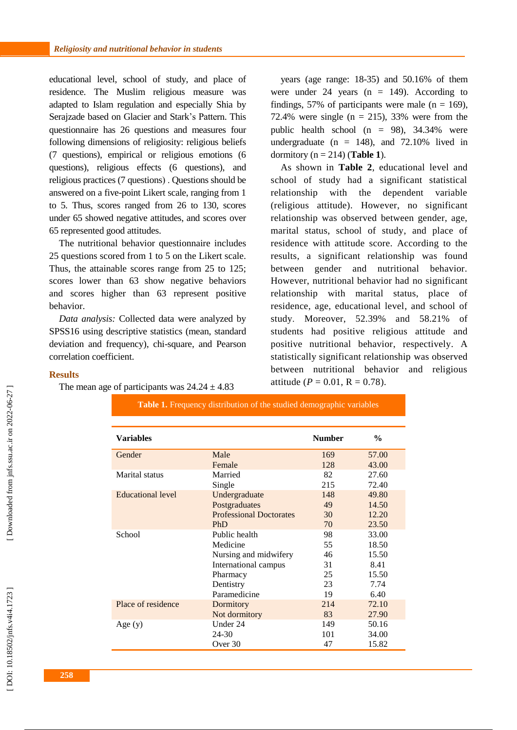educational level, school of study , and place of residence. The Muslim religious measure was adapted to Islam regulation and especially Shia by Serajzade based on Glacier and Stark's Pattern. This questionnaire ha s 26 questions and measures four following dimensions of religiosity: religious beliefs (7 questions), empirical or religious emotions (6 questions), religious effects (6 questions) , and religious practices (7 questions). Questions should be answered on a five -point Likert scale, ranging from 1 to 5. Thus, scores ranged from 26 to 130, scores under 65 showed negative attitudes , and scores over 65 represented good attitudes .

The nutritional behavior questionnaire include s 25 questions scored from 1 to 5 on the Likert scale. Thus, the attainable scores range from 25 to 125; scores lower than 63 show negative behaviors and scores higher than 63 represent positive behavior.

*Data analysis:* Collected data were analyzed by SPSS16 using descriptive statistics (mean, standard deviation and frequency), chi -square , and Pearson correlation coefficient .

years (age range: 18 -35) and 50.16% of them were under 24 years  $(n = 149)$ . According to findings, 57% of participants were male  $(n = 169)$ , 72.4% were single  $(n = 215)$ , 33% were from the public health school (n = 98) , 34 . 34% were undergraduate  $(n = 148)$ , and 72.10% lived in dormitory (n = 214) (**Table 1**).

As shown in **Table 2**, educational level and school of study had a significant statistical relationship with the dependent variable (religious attitude). However, no significant relationship was observed between gender, age, marital status, school of study , and place of residence with attitude score. According to the results , a significant relationship was found between gender and nutritional behavior. However, nutritional behavior had no significant relationship with marital status, place of residence, age, educational level , and school of study . Moreover, 52.39% and 58.21% of students had positive religious attitude and positive nutritional behavior, respectively . A statistically significant relationship was observed between nutritional behavior and religious attitude ( $P = 0.01$ ,  $R = 0.78$ ).

### **Result s**

The mean age of participants was  $24.24 \pm 4.83$ 

| <b>Variables</b>         |                                | <b>Number</b> | $\frac{0}{0}$ |
|--------------------------|--------------------------------|---------------|---------------|
| Gender                   | Male                           | 169           | 57.00         |
|                          | Female                         | 128           | 43.00         |
| Marital status           | Married                        | 82            | 27.60         |
|                          | Single                         | 215           | 72.40         |
| <b>Educational level</b> | Undergraduate                  | 148           | 49.80         |
|                          | Postgraduates                  | 49            | 14.50         |
|                          | <b>Professional Doctorates</b> | 30            | 12.20         |
|                          | PhD                            | 70            | 23.50         |
| School                   | Public health                  | 98            | 33.00         |
|                          | Medicine                       | 55            | 18.50         |
|                          | Nursing and midwifery          | 46            | 15.50         |
|                          | International campus           | 31            | 8.41          |
|                          | Pharmacy                       | 25            | 15.50         |
|                          | Dentistry                      | 23            | 7.74          |
|                          | Paramedicine                   | 19            | 6.40          |
| Place of residence       | Dormitory                      | 214           | 72.10         |
|                          | Not dormitory                  | 83            | 27.90         |
| Age $(y)$                | Under 24                       | 149           | 50.16         |
|                          | 24-30                          | 101           | 34.00         |
|                          | Over 30                        | 47            | 15.82         |

**Table 1.** Frequency distribution of the studied demographic variables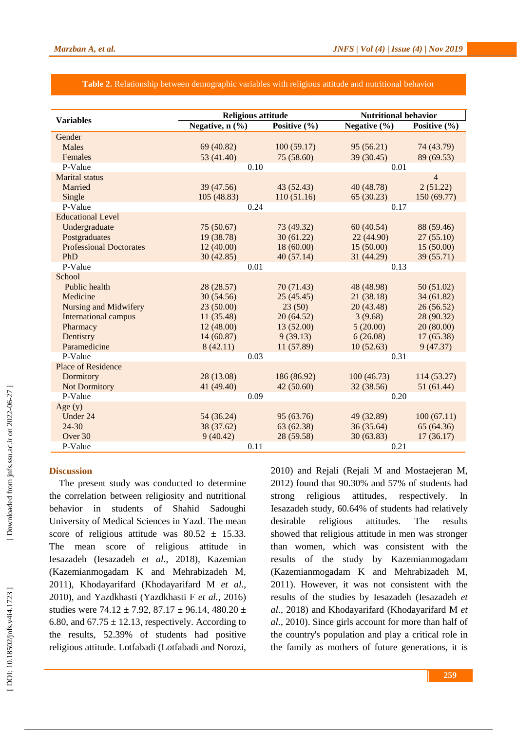#### **Table 2.** Relationship between demographic variables with religious attitude and nutritional behavior

| <b>Variables</b>               | <b>Religious attitude</b> |                  | <b>Nutritional behavior</b> |                |  |  |  |
|--------------------------------|---------------------------|------------------|-----------------------------|----------------|--|--|--|
|                                | Negative, n (%)           | Positive $(\% )$ | Negative $(\% )$            | Positive (%)   |  |  |  |
| Gender                         |                           |                  |                             |                |  |  |  |
| <b>Males</b>                   | 69 (40.82)                | 100(59.17)       | 95(56.21)                   | 74 (43.79)     |  |  |  |
| Females                        | 53 (41.40)                | 75(58.60)        | 39 (30.45)                  | 89 (69.53)     |  |  |  |
| P-Value                        | 0.10                      |                  | 0.01                        |                |  |  |  |
| <b>Marital</b> status          |                           |                  |                             | $\overline{4}$ |  |  |  |
| Married                        | 39 (47.56)                | 43(52.43)        | 40 (48.78)                  | 2(51.22)       |  |  |  |
| Single                         | 105 (48.83)               | 110(51.16)       | 65(30.23)                   | 150 (69.77)    |  |  |  |
| P-Value                        | 0.24                      |                  | 0.17                        |                |  |  |  |
| <b>Educational Level</b>       |                           |                  |                             |                |  |  |  |
| Undergraduate                  | 75(50.67)                 | 73 (49.32)       | 60(40.54)                   | 88 (59.46)     |  |  |  |
| Postgraduates                  | 19 (38.78)                | 30(61.22)        | 22 (44.90)                  | 27(55.10)      |  |  |  |
| <b>Professional Doctorates</b> | 12(40.00)                 | 18(60.00)        | 15(50.00)                   | 15(50.00)      |  |  |  |
| PhD                            | 30(42.85)                 | 40(57.14)        | 31 (44.29)                  | 39 (55.71)     |  |  |  |
| P-Value                        | 0.01                      |                  | 0.13                        |                |  |  |  |
| School                         |                           |                  |                             |                |  |  |  |
| Public health                  | 28 (28.57)                | 70 (71.43)       | 48 (48.98)                  | 50(51.02)      |  |  |  |
| Medicine                       | 30(54.56)                 | 25(45.45)        | 21 (38.18)                  | 34(61.82)      |  |  |  |
| <b>Nursing and Midwifery</b>   | 23(50.00)                 | 23(50)           | 20(43.48)                   | 26(56.52)      |  |  |  |
| <b>International campus</b>    | 11(35.48)                 | 20(64.52)        | 3(9.68)                     | 28 (90.32)     |  |  |  |
| Pharmacy                       | 12(48.00)                 | 13(52.00)        | 5(20.00)                    | 20 (80.00)     |  |  |  |
| Dentistry                      | 14(60.87)                 | 9(39.13)         | 6(26.08)                    | 17(65.38)      |  |  |  |
| Paramedicine                   | 8(42.11)                  | 11 (57.89)       | 10(52.63)                   | 9(47.37)       |  |  |  |
| P-Value                        | 0.03                      |                  | 0.31                        |                |  |  |  |
| <b>Place of Residence</b>      |                           |                  |                             |                |  |  |  |
| Dormitory                      | 28 (13.08)                | 186 (86.92)      | 100(46.73)                  | 114 (53.27)    |  |  |  |
| <b>Not Dormitory</b>           | 41 (49.40)                | 42(50.60)        | 32 (38.56)                  | 51(61.44)      |  |  |  |
| P-Value                        | 0.09                      |                  | 0.20                        |                |  |  |  |
| Age $(y)$                      |                           |                  |                             |                |  |  |  |
| Under 24                       | 54 (36.24)                | 95 (63.76)       | 49 (32.89)                  | 100(67.11)     |  |  |  |
| $24 - 30$                      | 38 (37.62)                | 63 (62.38)       | 36(35.64)                   | 65 (64.36)     |  |  |  |
| Over 30                        | 9(40.42)                  | 28 (59.58)       | 30(63.83)                   | 17(36.17)      |  |  |  |
| P-Value                        |                           | 0.21<br>0.11     |                             |                |  |  |  |

#### **Discussion**

The present study was conducted to determine the correlation between religiosity and nutritional behavior in students of Shahid Sadoughi University of Medical Sciences in Yazd . The mean score of religious attitude was  $80.52 \pm 15.33$ . The mean score of religious attitude in Iesazadeh (Iesazadeh *et al.*, 2018 ), Kazemian (Kazemianmogadam K and Mehrabizadeh M, 2011 ), Khodayarifard (Khodayarifard M *et al.*, 2010), and Yazdkhasti (Yazdkhasti F et al., 2016) studies were  $74.12 \pm 7.92$ ,  $87.17 \pm 96.14$ ,  $480.20 \pm 1.00$ 6.80, and  $67.75 \pm 12.13$ , respectively. According to the results, 52.39% of students had positive religious attitude. Lotfabad i (Lotfabadi and Norozi,

2010 ) and Rejali (Rejali M and Mostaejeran M, 2012 ) found that 90 .30 % and 57 % of students had strong religious attitudes, respectively. . In Iesazadeh study , 60.64% of students had relatively desirable religious attitudes. The results showed that religious attitude in men was stronger than women, which was consistent with the results of the study by Kazemianmogadam (Kazemianmogadam K and Mehrabizadeh M, 2011 ). However, it was not consistent with the results of the studies by Iesazadeh (Iesazadeh *et al.*, 2018 ) and Khodayarifard (Khodayarifard M *et al.*, 2010 ) . Since girls account for more than half of the country's population and play a critical role in the family as mothers of future generations, it is

[Downloaded from jnfs.ssu.ac.ir on 2022-06-27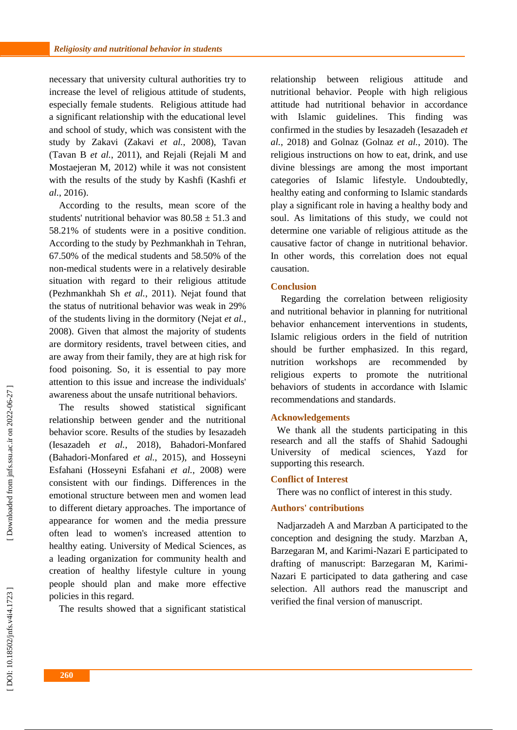necessary that university cultural authorities try to increase the level of religious attitude of students, especially female students . Religious attitude had a significant relationship with the educational level and school of study, which was consistent with the study by Zakavi (Zakavi *et al.*, 2008 ), Tavan (Tavan B *et al.*, 2011 ), and Rejali (Rejali M and Mostaejeran M, 201 2 ) while it was not consistent with the results of the study by Kashfi (Kashfi *et al.*, 2016 ) .

According to the results , mean score of the students' nutritional behavior was  $80.58 \pm 51.3$  and 58.21% of students were in a positive condition. According to the study by Pezhmankhah in Tehran , 67.50% of the medical students and 58 .50% of the non -medical students were in a relatively desirable situation with regard to their religious attitude (Pezhmankhah Sh *et al.*, 2011). Nejat found that the status of nutritional behavior was weak in 29% of the students living in the dormitory (Nejat *et al.*, 2008 ) . Given that almost the majority of students are dormitory residents, travel between cities , and are away from their family, they are at high risk for food poisoning. So, it is essential to pay more attention to this issue and increase the individuals' awareness about the unsafe nutritional behaviors.

The results showed statistical significant relationship between gender and the nutritional behavior score. Results of the studies by Iesazadeh (Iesazadeh *et al.*, 2018 ), Bahadori - Monfared (Bahadori-Monfared et al., 2015), and Hosseyni Esfahani (Hosseyni Esfahani *et al.*, 2008 ) were consistent with our finding s . Differences in the emotional structure between men and women lead to different dietary approaches. The importance of appearance for women and the media pressure often lead to women's increased attention to healthy eating. University of Medical Sciences , as a leading organization for community health and creation of healthy lifestyle culture in young people should plan and make more effective policies in this regard .

The results showed that a significant statistical

relationship between religious attitude and nutritional behavior. People with high religious attitude had nutritional behavior in accordance with Islamic guidelines . This finding was confirmed in the studies by Iesazadeh (Iesazadeh *et al.*, 2018 ) and Golnaz (Golnaz *et al.*, 2010 ) . The religious instructions on how to eat , drink , and use divine blessings are among the most important categories of Islamic lifestyle. Undoubtedly, healthy eating and conforming to Islamic standards play a significant role in having a health y body and soul. As limitations of this study, we could not determine one variable of religious attitude as the causative factor of change in nutritional behavior. In other words, this correlation does not equal causation.

#### **Conclusion**

Regarding the correlation between religiosity and nutritional behavior in planning for nutritional behavior enhancement interventions in students, Islamic religious orders in the field of nutrition should be further emphasized. In this regard, nutrition workshops are recommended by religious experts to promote the nutritional behaviors of students in accordance with Islamic recommendations and standards .

#### **Acknowledgements**

We thank all the students participating in this research and all the staffs of Shahid Sadoughi University of medical sciences, Yazd for supporting this research.

#### **Conflict of Interest**

There was no conflict of interest in this study.

#### **Authors' contributions**

Nadjarzadeh A and Marzban A participated to the conception and designing the study. Marzban A, Barzegaran M, and Karimi -Nazari E participated to drafting of manuscript: Barzegaran M, Karimi - Nazari E participated to data gathering and case selection. All authors read the manuscript and verified the final version of manuscript.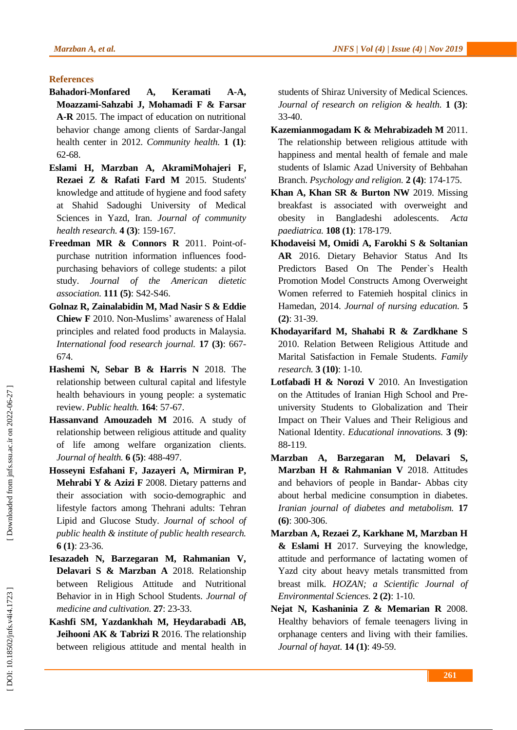# **References**

- **Bahadori -Monfared A, Keramati A -A, Moazzami -Sahzabi J, Mohamadi F & Farsar A -R** 2015. The impact of education on nutritional behavior change among clients of Sardar -Jangal health center in 2012. *Community health.* **1 (1)**: 62 -68.
- **Eslami H, Marzban A, AkramiMohajeri F, Rezaei Z & Rafati Fard M** 2015. Students' knowledge and attitude of hygiene and food safety at Shahid Sadoughi University of Medical Sciences in Yazd, Iran. *Journal of community health research.* **4 (3)**: 159 -167.
- **Freedman MR & Connors R 2011. Point-of**purchase nutrition information influences foodpurchasing behaviors of college students: a pilot study. *Journal of the American dietetic association.* **111 (5)**: S42 -S46.
- **Golnaz R, Zainalabidin M, Mad Nasir S & Eddie Chiew F** 2010. Non -Muslims' awareness of Halal principles and related food products in Malaysia. *International food research journal.* **17 (3)**: 667 - 674.
- **Hashemi N, Sebar B & Harris N** 2018. The relationship between cultural capital and lifestyle health behaviours in young people: a systematic review. *Public health.* **164**: 57 -67.
- **Hassanvand Amouzadeh M** 2016. A study of relationship between religious attitude and quality of life among welfare organization clients. *Journal of health.* **6 (5)**: 488 -497.
- **Hosseyni Esfahani F, Jazayeri A, Mirmiran P, Mehrabi Y & Azizi F** 2008. Dietary patterns and their association with socio -demographic and lifestyle factors among Thehrani adults: Tehran Lipid and Glucose Study. *Journal of school of public health & institute of public health research.* **6 (1)**: 23-36.
- **Iesazadeh N, Barzegaran M, Rahmanian V, Delavari S & Marzban A** 2018. Relationship between Religious Attitude and Nutritional Behavior in in High School Students. *Journal of medicine and cultivation.* **27**: 23 -33.
- **Kashfi SM, Yazdankhah M, Heydarabadi AB, Jeihooni AK & Tabrizi R** 2016. The relationship between religious attitude and mental health in

students of Shiraz University of Medical Sciences. *Journal of research on religion & health.* **1 (3)**: 33 -40.

- **Kazemianmogadam K & Mehrabizadeh M** 2011. The relationship between religious attitude with happiness and mental health of female and male students of Islamic Azad University of Behbahan Branch. *Psychology and religion.* **2 (4)**: 174 -175.
- **Khan A, Khan SR & Burton NW** 2019. Missing breakfast is associated with overweight and obesity in Bangladeshi adolescents. *Acta paediatrica.* **108 (1)**: 178 -179.
- **Khodaveisi M, Omidi A, Farokhi S & Soltanian AR** 2016. Dietary Behavior Status And Its Predictors Based On The Pender`s Health Promotion Model Constructs Among Overweight Women referred to Fatemieh hospital clinics in Hamedan, 2014. *Journal of nursing education.* **5 (2)**: 31 -39.
- **Khodayarifard M, Shahabi R & Zardkhane S**  2010. Relation Between Religious Attitude and Marital Satisfaction in Female Students. *Family research.* **3 (10)**: 1 -10.
- **Lotfabadi H & Norozi V** 2010. An Investigation on the Attitudes of Iranian High School and Pre university Students to Globalization and Their Impact on Their Values and Their Religious and National Identity. *Educational innovations.* **3 (9)**: 88 -119.
- **Marzban A, Barzegaran M, Delavari S, Marzban H & Rahmanian V** 2018. Attitudes and behaviors of people in Bandar - Abbas city about herbal medicine consumption in diabetes. *Iranian journal of diabetes and metabolism.* **17 (6)**: 300 -306.
- **Marzban A, Rezaei Z, Karkhane M, Marzban H & Eslami H** 2017. Surveying the knowledge, attitude and performance of lactating women of Yazd city about heavy metals transmitted from breast milk. *HOZAN; a Scientific Journal of Environmental Sciences.* **2 (2)**: 1 -10.
- **Nejat N, Kashaninia Z & Memarian R** 2008. Healthy behaviors of female teenagers living in orphanage centers and living with their families. *Journal of hayat.* **14 (1)**: 49 -59.